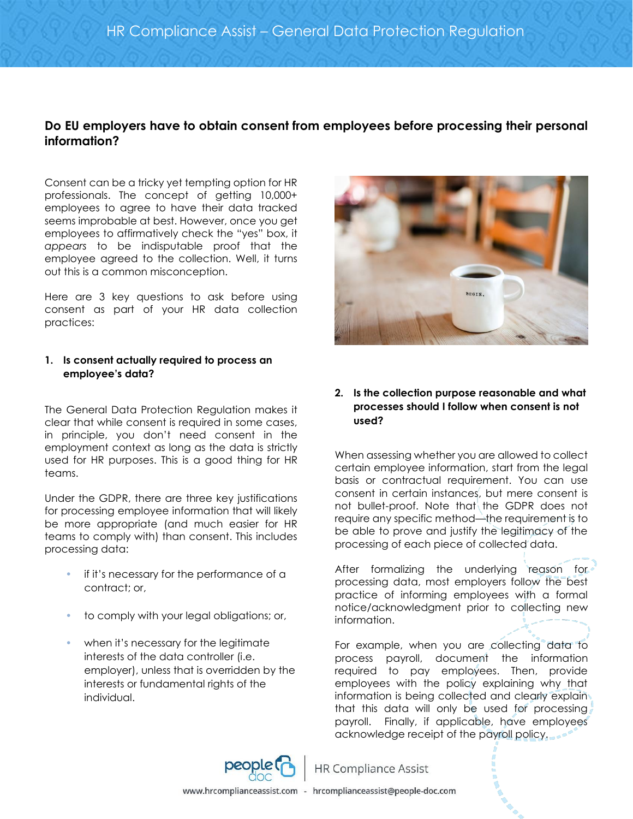## **Do EU employers have to obtain consent from employees before processing their personal information?**

Consent can be a tricky yet tempting option for HR professionals. The concept of getting 10,000+ employees to agree to have their data tracked seems improbable at best. However, once you get employees to affirmatively check the "yes" box, it *appears* to be indisputable proof that the employee agreed to the collection. Well, it turns out this is a common misconception.

Here are 3 key questions to ask before using consent as part of your HR data collection practices:

## **1. Is consent actually required to process an employee's data?**

The General Data Protection Regulation makes it clear that while consent is required in some cases, in principle, you don't need consent in the employment context as long as the data is strictly used for HR purposes. This is a good thing for HR teams.

Under the GDPR, there are three key justifications for processing employee information that will likely be more appropriate (and much easier for HR teams to comply with) than consent. This includes processing data:

- if it's necessary for the performance of a contract; or,
- to comply with your legal obligations; or,
- when it's necessary for the legitimate interests of the data controller (i.e. employer), unless that is overridden by the interests or fundamental rights of the individual.



**2. Is the collection purpose reasonable and what processes should I follow when consent is not used?**

When assessing whether you are allowed to collect certain employee information, start from the legal basis or contractual requirement. You can use consent in certain instances, but mere consent is not bullet-proof. Note that the GDPR does not require any specific method—the requirement is to be able to prove and justify the legitimacy of the processing of each piece of collected data.

After formalizing the underlying reason for processing data, most employers follow the best practice of informing employees with a formal notice/acknowledgment prior to collecting new information.

For example, when you are collecting data to process payroll, document the information required to pay employees. Then, provide employees with the policy explaining why that information is being collected and clearly explain that this data will only be used for processing payroll. Finally, if applicable, have employees acknowledge receipt of the payroll policy.



**HR Compliance Assist** 

www.hrcomplianceassist.com - hrcomplianceassist@people-doc.com